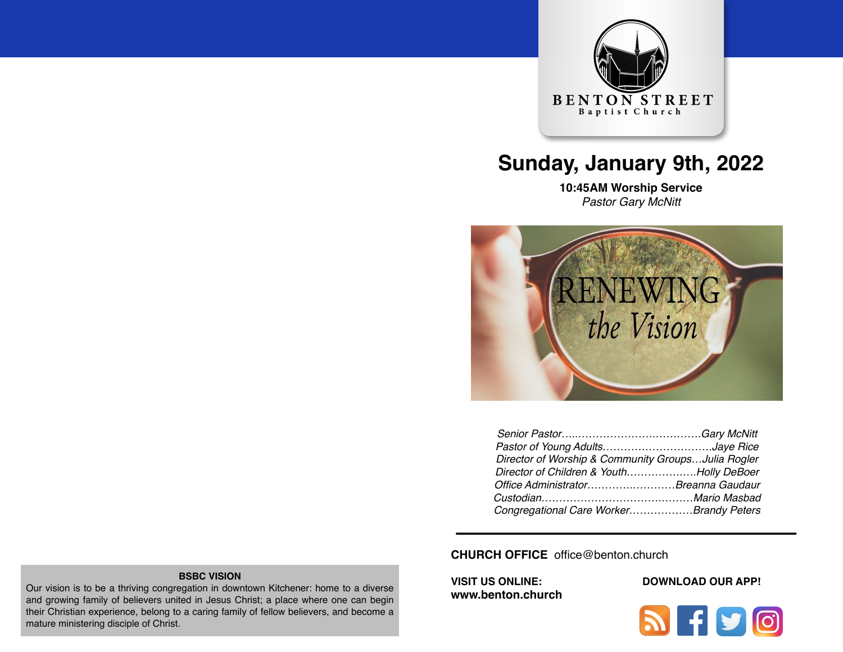

# **Sunday, January 9th, 2022**

**10:45AM Worship Service**  *Pastor Gary McNitt*



| Pastor of Young AdultsJaye Rice                    |  |
|----------------------------------------------------|--|
| Director of Worship & Community GroupsJulia Rogler |  |
| Director of Children & YouthHolly DeBoer           |  |
| Office AdministratorBreanna Gaudaur                |  |
|                                                    |  |
| Congregational Care WorkerBrandy Peters            |  |

**CHURCH OFFICE** office@benton.church

**[www.benton.church](http://www.benton.church)**

#### **VISIT US ONLINE: DOWNLOAD OUR APP!**



#### **BSBC VISION**

Our vision is to be a thriving congregation in downtown Kitchener: home to a diverse and growing family of believers united in Jesus Christ; a place where one can begin their Christian experience, belong to a caring family of fellow believers, and become a mature ministering disciple of Christ.